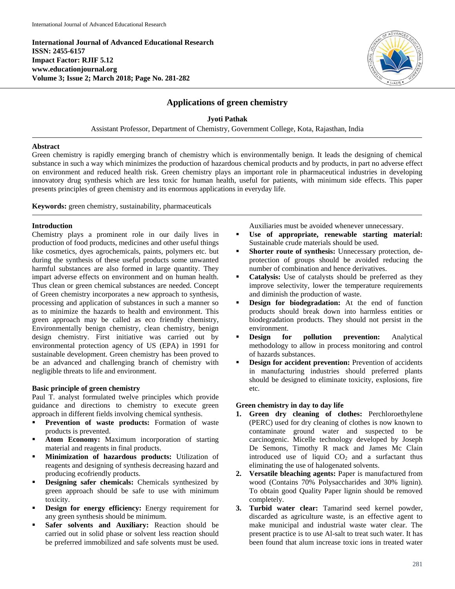**International Journal of Advanced Educational Research ISSN: 2455-6157 Impact Factor: RJIF 5.12 www.educationjournal.org Volume 3; Issue 2; March 2018; Page No. 281-282**



# **Applications of green chemistry**

### **Jyoti Pathak**

Assistant Professor, Department of Chemistry, Government College, Kota, Rajasthan, India

#### **Abstract**

Green chemistry is rapidly emerging branch of chemistry which is environmentally benign. It leads the designing of chemical substance in such a way which minimizes the production of hazardous chemical products and by products, in part no adverse effect on environment and reduced health risk. Green chemistry plays an important role in pharmaceutical industries in developing innovatory drug synthesis which are less toxic for human health, useful for patients, with minimum side effects. This paper presents principles of green chemistry and its enormous applications in everyday life.

**Keywords:** green chemistry, sustainability, pharmaceuticals

### **Introduction**

Chemistry plays a prominent role in our daily lives in production of food products, medicines and other useful things like cosmetics, dyes agrochemicals, paints, polymers etc. but during the synthesis of these useful products some unwanted harmful substances are also formed in large quantity. They impart adverse effects on environment and on human health. Thus clean or green chemical substances are needed. Concept of Green chemistry incorporates a new approach to synthesis, processing and application of substances in such a manner so as to minimize the hazards to health and environment. This green approach may be called as eco friendly chemistry, Environmentally benign chemistry, clean chemistry, benign design chemistry. First initiative was carried out by environmental protection agency of US (EPA) in 1991 for sustainable development. Green chemistry has been proved to be an advanced and challenging branch of chemistry with negligible threats to life and environment.

# **Basic principle of green chemistry**

Paul T. analyst formulated twelve principles which provide guidance and directions to chemistry to execute green approach in different fields involving chemical synthesis.

- **Prevention of waste products:** Formation of waste products is prevented.
- **Atom Economy:** Maximum incorporation of starting material and reagents in final products.
- **Minimization of hazardous products:** Utilization of reagents and designing of synthesis decreasing hazard and producing ecofriendly products.
- **Designing safer chemicals:** Chemicals synthesized by green approach should be safe to use with minimum toxicity.
- **Design for energy efficiency:** Energy requirement for any green synthesis should be minimum.
- **Safer solvents and Auxiliary:** Reaction should be carried out in solid phase or solvent less reaction should be preferred immobilized and safe solvents must be used.

Auxiliaries must be avoided whenever unnecessary.

- **Use of appropriate, renewable starting material:**  Sustainable crude materials should be used.
- **Shorter route of synthesis:** Unnecessary protection, deprotection of groups should be avoided reducing the number of combination and hence derivatives.
- **Catalysis:** Use of catalysts should be preferred as they improve selectivity, lower the temperature requirements and diminish the production of waste.
- **Design for biodegradation:** At the end of function products should break down into harmless entities or biodegradation products. They should not persist in the environment.
- **Pesign for pollution prevention:** Analytical methodology to allow in process monitoring and control of hazards substances.
- **Design for accident prevention:** Prevention of accidents in manufacturing industries should preferred plants should be designed to eliminate toxicity, explosions, fire etc.

# **Green chemistry in day to day life**

- **1. Green dry cleaning of clothes:** Perchloroethylene (PERC) used for dry cleaning of clothes is now known to contaminate ground water and suspected to be carcinogenic. Micelle technology developed by Joseph De Semons, Timothy R mack and James Mc Clain introduced use of liquid  $CO<sub>2</sub>$  and a surfactant thus eliminating the use of halogenated solvents.
- **2. Versatile bleaching agents:** Paper is manufactured from wood (Contains 70% Polysaccharides and 30% lignin). To obtain good Quality Paper lignin should be removed completely.
- **3. Turbid water clear:** Tamarind seed kernel powder, discarded as agriculture waste, is an effective agent to make municipal and industrial waste water clear. The present practice is to use Al-salt to treat such water. It has been found that alum increase toxic ions in treated water